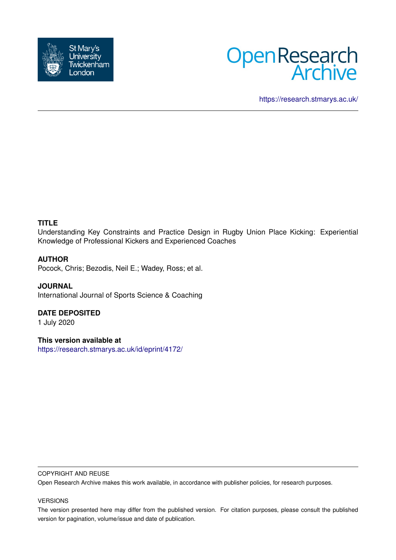



<https://research.stmarys.ac.uk/>

### **TITLE**

Understanding Key Constraints and Practice Design in Rugby Union Place Kicking: Experiential Knowledge of Professional Kickers and Experienced Coaches

### **AUTHOR**

Pocock, Chris; Bezodis, Neil E.; Wadey, Ross; et al.

**JOURNAL** International Journal of Sports Science & Coaching

### **DATE DEPOSITED**

1 July 2020

**This version available at**

<https://research.stmarys.ac.uk/id/eprint/4172/>

#### COPYRIGHT AND REUSE

Open Research Archive makes this work available, in accordance with publisher policies, for research purposes.

#### VERSIONS

The version presented here may differ from the published version. For citation purposes, please consult the published version for pagination, volume/issue and date of publication.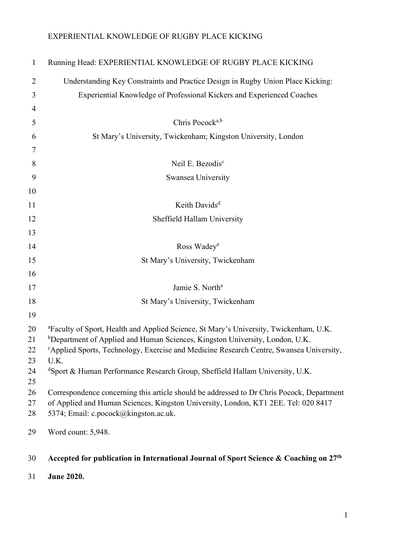| $\mathbf{1}$   | Running Head: EXPERIENTIAL KNOWLEDGE OF RUGBY PLACE KICKING                                                                                                                                                                                                                                          |
|----------------|------------------------------------------------------------------------------------------------------------------------------------------------------------------------------------------------------------------------------------------------------------------------------------------------------|
| 2              | Understanding Key Constraints and Practice Design in Rugby Union Place Kicking:                                                                                                                                                                                                                      |
| 3              | Experiential Knowledge of Professional Kickers and Experienced Coaches                                                                                                                                                                                                                               |
| $\overline{4}$ |                                                                                                                                                                                                                                                                                                      |
| 5              | Chris Pocock <sup>a,b</sup>                                                                                                                                                                                                                                                                          |
| 6              | St Mary's University, Twickenham; Kingston University, London                                                                                                                                                                                                                                        |
| 7              |                                                                                                                                                                                                                                                                                                      |
| 8              | Neil E. Bezodis <sup>c</sup>                                                                                                                                                                                                                                                                         |
| 9              | Swansea University                                                                                                                                                                                                                                                                                   |
| 10             |                                                                                                                                                                                                                                                                                                      |
| 11             | Keith Davids <sup>d</sup>                                                                                                                                                                                                                                                                            |
| 12             | Sheffield Hallam University                                                                                                                                                                                                                                                                          |
| 13             |                                                                                                                                                                                                                                                                                                      |
| 14             | Ross Wadey <sup>a</sup>                                                                                                                                                                                                                                                                              |
| 15             | St Mary's University, Twickenham                                                                                                                                                                                                                                                                     |
| 16             |                                                                                                                                                                                                                                                                                                      |
| 17             | Jamie S. North <sup>a</sup>                                                                                                                                                                                                                                                                          |
| 18             | St Mary's University, Twickenham                                                                                                                                                                                                                                                                     |
| 19             |                                                                                                                                                                                                                                                                                                      |
| 20<br>21<br>22 | <sup>a</sup> Faculty of Sport, Health and Applied Science, St Mary's University, Twickenham, U.K.<br><sup>b</sup> Department of Applied and Human Sciences, Kingston University, London, U.K.<br><sup>c</sup> Applied Sports, Technology, Exercise and Medicine Research Centre, Swansea University, |
| 23<br>24<br>25 | U.K.<br><sup>d</sup> Sport & Human Performance Research Group, Sheffield Hallam University, U.K.                                                                                                                                                                                                     |
| 26<br>27<br>28 | Correspondence concerning this article should be addressed to Dr Chris Pocock, Department<br>of Applied and Human Sciences, Kingston University, London, KT1 2EE. Tel: 020 8417<br>5374; Email: c.pocock@kingston.ac.uk.                                                                             |
| 29             | Word count: 5,948.                                                                                                                                                                                                                                                                                   |
|                |                                                                                                                                                                                                                                                                                                      |
| 30             | Accepted for publication in International Journal of Sport Science & Coaching on $27th$                                                                                                                                                                                                              |
| 31             | <b>June 2020.</b>                                                                                                                                                                                                                                                                                    |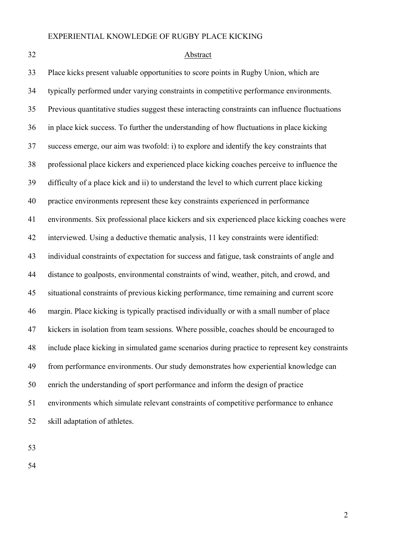#### 32 Abstract

33 Place kicks present valuable opportunities to score points in Rugby Union, which are 34 typically performed under varying constraints in competitive performance environments. 35 Previous quantitative studies suggest these interacting constraints can influence fluctuations 36 in place kick success. To further the understanding of how fluctuations in place kicking 37 success emerge, our aim was twofold: i) to explore and identify the key constraints that 38 professional place kickers and experienced place kicking coaches perceive to influence the 39 difficulty of a place kick and ii) to understand the level to which current place kicking 40 practice environments represent these key constraints experienced in performance 41 environments. Six professional place kickers and six experienced place kicking coaches were 42 interviewed. Using a deductive thematic analysis, 11 key constraints were identified: 43 individual constraints of expectation for success and fatigue, task constraints of angle and 44 distance to goalposts, environmental constraints of wind, weather, pitch, and crowd, and 45 situational constraints of previous kicking performance, time remaining and current score 46 margin. Place kicking is typically practised individually or with a small number of place 47 kickers in isolation from team sessions. Where possible, coaches should be encouraged to 48 include place kicking in simulated game scenarios during practice to represent key constraints 49 from performance environments. Our study demonstrates how experiential knowledge can 50 enrich the understanding of sport performance and inform the design of practice 51 environments which simulate relevant constraints of competitive performance to enhance 52 skill adaptation of athletes.

53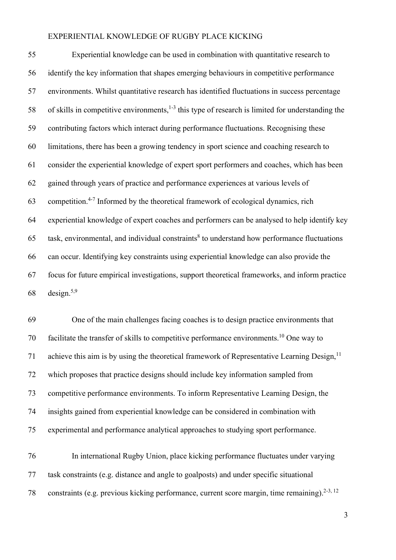55 Experiential knowledge can be used in combination with quantitative research to 56 identify the key information that shapes emerging behaviours in competitive performance 57 environments. Whilst quantitative research has identified fluctuations in success percentage 58 of skills in competitive environments,  $1-3$  this type of research is limited for understanding the 59 contributing factors which interact during performance fluctuations. Recognising these 60 limitations, there has been a growing tendency in sport science and coaching research to 61 consider the experiential knowledge of expert sport performers and coaches, which has been 62 gained through years of practice and performance experiences at various levels of 63 competition.<sup>4-7</sup> Informed by the theoretical framework of ecological dynamics, rich 64 experiential knowledge of expert coaches and performers can be analysed to help identify key 65 task, environmental, and individual constraints<sup>8</sup> to understand how performance fluctuations 66 can occur. Identifying key constraints using experiential knowledge can also provide the 67 focus for future empirical investigations, support theoretical frameworks, and inform practice 68 design. $5,9$ 

69 One of the main challenges facing coaches is to design practice environments that 70 facilitate the transfer of skills to competitive performance environments.<sup>10</sup> One way to 71 achieve this aim is by using the theoretical framework of Representative Learning Design,  $11$ 72 which proposes that practice designs should include key information sampled from 73 competitive performance environments. To inform Representative Learning Design, the 74 insights gained from experiential knowledge can be considered in combination with 75 experimental and performance analytical approaches to studying sport performance.

76 In international Rugby Union, place kicking performance fluctuates under varying 77 task constraints (e.g. distance and angle to goalposts) and under specific situational 78 constraints (e.g. previous kicking performance, current score margin, time remaining).<sup>2-3, 12</sup>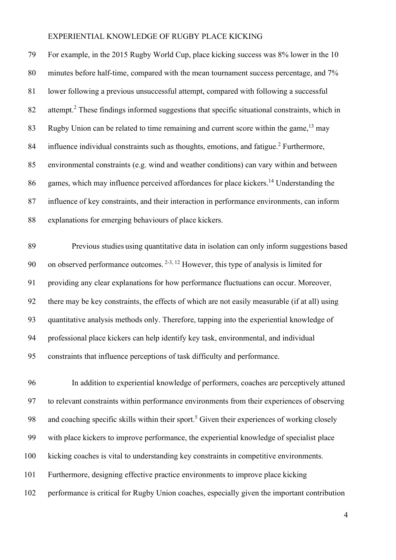79 For example, in the 2015 Rugby World Cup, place kicking success was 8% lower in the 10 80 minutes before half-time, compared with the mean tournament success percentage, and 7% 81 lower following a previous unsuccessful attempt, compared with following a successful  $82$  attempt.<sup>2</sup> These findings informed suggestions that specific situational constraints, which in 83 Rugby Union can be related to time remaining and current score within the game,  $13 \text{ may}$ 84 influence individual constraints such as thoughts, emotions, and fatigue.<sup>2</sup> Furthermore, 85 environmental constraints (e.g. wind and weather conditions) can vary within and between 86 games, which may influence perceived affordances for place kickers.<sup>14</sup> Understanding the 87 influence of key constraints, and their interaction in performance environments, can inform 88 explanations for emerging behaviours of place kickers.

89 Previous studies using quantitative data in isolation can only inform suggestions based 90 on observed performance outcomes.  $2-3$ ,  $12$  However, this type of analysis is limited for 91 providing any clear explanations for how performance fluctuations can occur. Moreover, 92 there may be key constraints, the effects of which are not easily measurable (if at all) using 93 quantitative analysis methods only. Therefore, tapping into the experiential knowledge of 94 professional place kickers can help identify key task, environmental, and individual 95 constraints that influence perceptions of task difficulty and performance.

96 In addition to experiential knowledge of performers, coaches are perceptively attuned 97 to relevant constraints within performance environments from their experiences of observing 98 and coaching specific skills within their sport.<sup>5</sup> Given their experiences of working closely 99 with place kickers to improve performance, the experiential knowledge of specialist place 100 kicking coaches is vital to understanding key constraints in competitive environments. 101 Furthermore, designing effective practice environments to improve place kicking 102 performance is critical for Rugby Union coaches, especially given the important contribution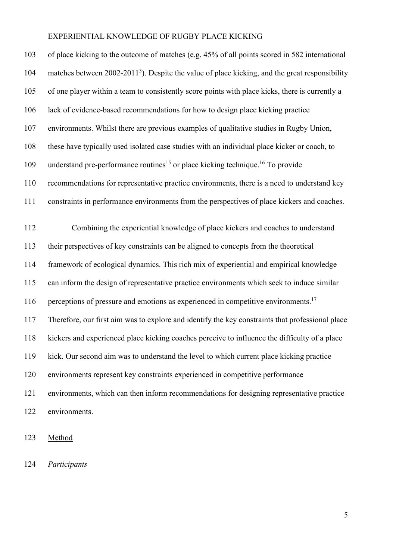| 103 | of place kicking to the outcome of matches (e.g. 45% of all points scored in 582 international             |
|-----|------------------------------------------------------------------------------------------------------------|
| 104 | matches between 2002-2011 <sup>3</sup> ). Despite the value of place kicking, and the great responsibility |
| 105 | of one player within a team to consistently score points with place kicks, there is currently a            |
| 106 | lack of evidence-based recommendations for how to design place kicking practice                            |
| 107 | environments. Whilst there are previous examples of qualitative studies in Rugby Union,                    |
| 108 | these have typically used isolated case studies with an individual place kicker or coach, to               |
| 109 | understand pre-performance routines <sup>15</sup> or place kicking technique. <sup>16</sup> To provide     |
| 110 | recommendations for representative practice environments, there is a need to understand key                |
| 111 | constraints in performance environments from the perspectives of place kickers and coaches.                |
| 112 | Combining the experiential knowledge of place kickers and coaches to understand                            |
| 113 | their perspectives of key constraints can be aligned to concepts from the theoretical                      |
| 114 | framework of ecological dynamics. This rich mix of experiential and empirical knowledge                    |
| 115 | can inform the design of representative practice environments which seek to induce similar                 |
| 116 | perceptions of pressure and emotions as experienced in competitive environments. <sup>17</sup>             |
| 117 | Therefore, our first aim was to explore and identify the key constraints that professional place           |
| 118 | kickers and experienced place kicking coaches perceive to influence the difficulty of a place              |
| 119 | kick. Our second aim was to understand the level to which current place kicking practice                   |
| 120 | environments represent key constraints experienced in competitive performance                              |
| 121 | environments, which can then inform recommendations for designing representative practice                  |
| 122 | environments.                                                                                              |

123 Method

124 Participants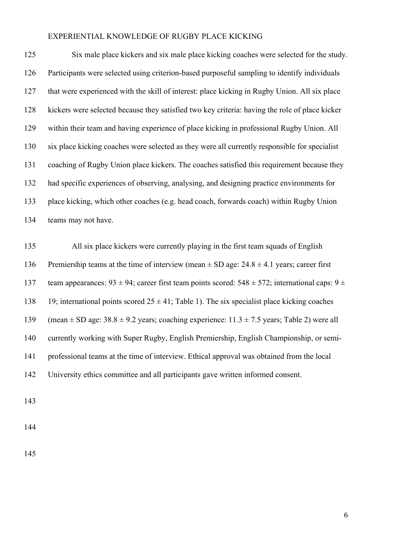125 Six male place kickers and six male place kicking coaches were selected for the study. 126 Participants were selected using criterion-based purposeful sampling to identify individuals 127 that were experienced with the skill of interest: place kicking in Rugby Union. All six place 128 kickers were selected because they satisfied two key criteria: having the role of place kicker 129 within their team and having experience of place kicking in professional Rugby Union. All 130 six place kicking coaches were selected as they were all currently responsible for specialist 131 coaching of Rugby Union place kickers. The coaches satisfied this requirement because they 132 had specific experiences of observing, analysing, and designing practice environments for 133 place kicking, which other coaches (e.g. head coach, forwards coach) within Rugby Union 134 teams may not have.

135 All six place kickers were currently playing in the first team squads of English 136 Premiership teams at the time of interview (mean  $\pm$  SD age: 24.8  $\pm$  4.1 years; career first 137 team appearances:  $93 \pm 94$ ; career first team points scored:  $548 \pm 572$ ; international caps:  $9 \pm 72$ 138 19; international points scored  $25 \pm 41$ ; Table 1). The six specialist place kicking coaches 139 (mean  $\pm$  SD age: 38.8  $\pm$  9.2 years; coaching experience: 11.3  $\pm$  7.5 years; Table 2) were all 140 currently working with Super Rugby, English Premiership, English Championship, or semi-141 professional teams at the time of interview. Ethical approval was obtained from the local 142 University ethics committee and all participants gave written informed consent.

143

144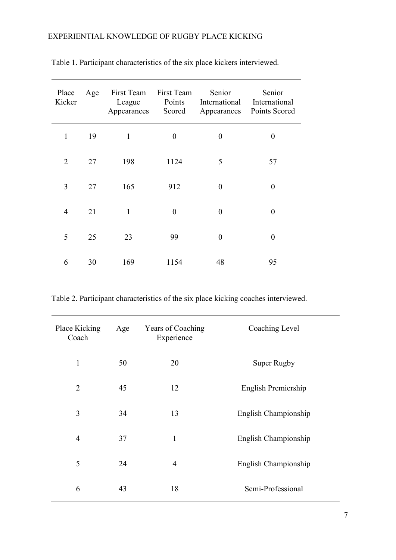| Place<br>Kicker | Age | First Team First Team<br>League<br>Appearances | Points<br>Scored | Senior<br>International<br>Appearances | Senior<br>International<br>Points Scored |
|-----------------|-----|------------------------------------------------|------------------|----------------------------------------|------------------------------------------|
| $\mathbf{1}$    | 19  | $\mathbf{1}$                                   | $\boldsymbol{0}$ | $\boldsymbol{0}$                       | $\boldsymbol{0}$                         |
| 2               | 27  | 198                                            | 1124             | 5                                      | 57                                       |
| 3               | 27  | 165                                            | 912              | $\overline{0}$                         | $\boldsymbol{0}$                         |
| $\overline{4}$  | 21  | 1                                              | $\theta$         | $\theta$                               | $\overline{0}$                           |
| 5               | 25  | 23                                             | 99               | $\theta$                               | $\theta$                                 |
| 6               | 30  | 169                                            | 1154             | 48                                     | 95                                       |

Table 1. Participant characteristics of the six place kickers interviewed.

Table 2. Participant characteristics of the six place kicking coaches interviewed.

| Place Kicking<br>Coach | Age | Years of Coaching<br>Experience | Coaching Level       |
|------------------------|-----|---------------------------------|----------------------|
| $\mathbf{1}$           | 50  | 20                              | Super Rugby          |
| $\overline{2}$         | 45  | 12                              | English Premiership  |
| 3                      | 34  | 13                              | English Championship |
| $\overline{4}$         | 37  | 1                               | English Championship |
| 5                      | 24  | $\overline{4}$                  | English Championship |
| 6                      | 43  | 18                              | Semi-Professional    |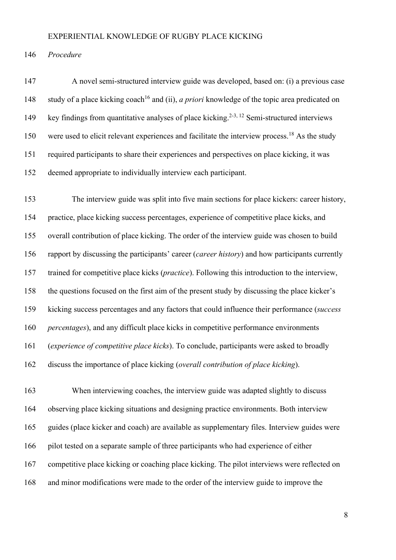146 Procedure

147 A novel semi-structured interview guide was developed, based on: (i) a previous case 148 study of a place kicking coach<sup>16</sup> and (ii), *a priori* knowledge of the topic area predicated on 149 key findings from quantitative analyses of place kicking.<sup>2-3, 12</sup> Semi-structured interviews  $150$  were used to elicit relevant experiences and facilitate the interview process.<sup>18</sup> As the study 151 required participants to share their experiences and perspectives on place kicking, it was 152 deemed appropriate to individually interview each participant.

153 The interview guide was split into five main sections for place kickers: career history, 154 practice, place kicking success percentages, experience of competitive place kicks, and 155 overall contribution of place kicking. The order of the interview guide was chosen to build 156 rapport by discussing the participants' career (career history) and how participants currently 157 trained for competitive place kicks (practice). Following this introduction to the interview, 158 the questions focused on the first aim of the present study by discussing the place kicker's 159 kicking success percentages and any factors that could influence their performance (success 160 percentages), and any difficult place kicks in competitive performance environments 161 (experience of competitive place kicks). To conclude, participants were asked to broadly 162 discuss the importance of place kicking (overall contribution of place kicking).

163 When interviewing coaches, the interview guide was adapted slightly to discuss 164 observing place kicking situations and designing practice environments. Both interview 165 guides (place kicker and coach) are available as supplementary files. Interview guides were 166 pilot tested on a separate sample of three participants who had experience of either 167 competitive place kicking or coaching place kicking. The pilot interviews were reflected on 168 and minor modifications were made to the order of the interview guide to improve the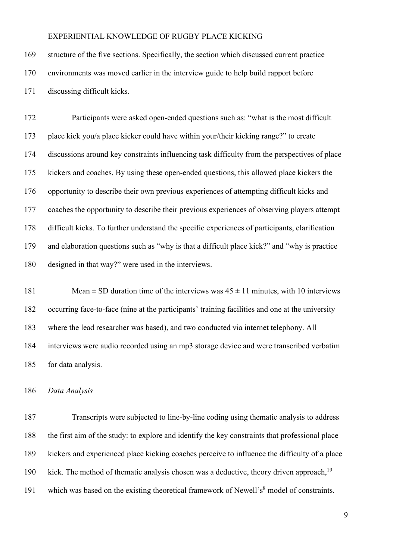169 structure of the five sections. Specifically, the section which discussed current practice 170 environments was moved earlier in the interview guide to help build rapport before 171 discussing difficult kicks.

172 Participants were asked open-ended questions such as: "what is the most difficult 173 place kick you/a place kicker could have within your/their kicking range?" to create 174 discussions around key constraints influencing task difficulty from the perspectives of place 175 kickers and coaches. By using these open-ended questions, this allowed place kickers the 176 opportunity to describe their own previous experiences of attempting difficult kicks and 177 coaches the opportunity to describe their previous experiences of observing players attempt 178 difficult kicks. To further understand the specific experiences of participants, clarification 179 and elaboration questions such as "why is that a difficult place kick?" and "why is practice 180 designed in that way?" were used in the interviews.

181 Mean  $\pm$  SD duration time of the interviews was  $45 \pm 11$  minutes, with 10 interviews 182 occurring face-to-face (nine at the participants' training facilities and one at the university 183 where the lead researcher was based), and two conducted via internet telephony. All 184 interviews were audio recorded using an mp3 storage device and were transcribed verbatim 185 for data analysis.

### 186 Data Analysis

187 Transcripts were subjected to line-by-line coding using thematic analysis to address 188 the first aim of the study: to explore and identify the key constraints that professional place 189 kickers and experienced place kicking coaches perceive to influence the difficulty of a place 190 kick. The method of thematic analysis chosen was a deductive, theory driven approach,  $19$ 191 which was based on the existing theoretical framework of Newell's $<sup>8</sup>$  model of constraints.</sup>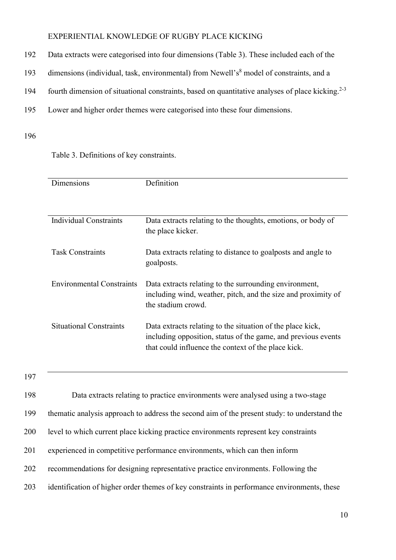- 192 Data extracts were categorised into four dimensions (Table 3). These included each of the
- 193 dimensions (individual, task, environmental) from Newell's<sup>8</sup> model of constraints, and a
- 194 fourth dimension of situational constraints, based on quantitative analyses of place kicking.<sup>2-3</sup>
- 195 Lower and higher order themes were categorised into these four dimensions.

### 196

Table 3. Definitions of key constraints.

| Dimensions                       | Definition                                                                                                                                                                         |
|----------------------------------|------------------------------------------------------------------------------------------------------------------------------------------------------------------------------------|
|                                  |                                                                                                                                                                                    |
|                                  |                                                                                                                                                                                    |
| Individual Constraints           | Data extracts relating to the thoughts, emotions, or body of<br>the place kicker.                                                                                                  |
| <b>Task Constraints</b>          | Data extracts relating to distance to goalposts and angle to<br>goalposts.                                                                                                         |
| <b>Environmental Constraints</b> | Data extracts relating to the surrounding environment,<br>including wind, weather, pitch, and the size and proximity of<br>the stadium crowd.                                      |
| <b>Situational Constraints</b>   | Data extracts relating to the situation of the place kick,<br>including opposition, status of the game, and previous events<br>that could influence the context of the place kick. |

197

198 Data extracts relating to practice environments were analysed using a two-stage

199 thematic analysis approach to address the second aim of the present study: to understand the

- 200 level to which current place kicking practice environments represent key constraints
- 201 experienced in competitive performance environments, which can then inform
- 202 recommendations for designing representative practice environments. Following the
- 203 identification of higher order themes of key constraints in performance environments, these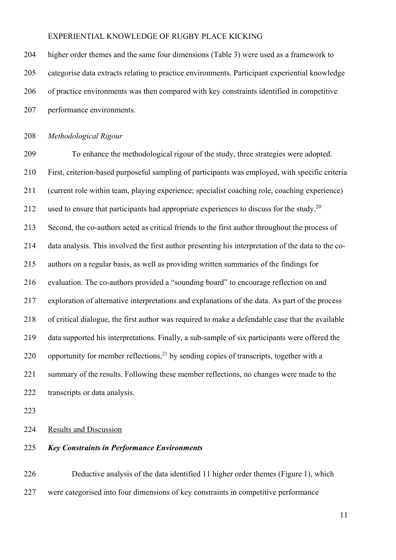204 higher order themes and the same four dimensions (Table 3) were used as a framework to 205 categorise data extracts relating to practice environments. Participant experiential knowledge 206 of practice environments was then compared with key constraints identified in competitive 207 performance environments.

208 Methodological Rigour

209 To enhance the methodological rigour of the study, three strategies were adopted. 210 First, criterion-based purposeful sampling of participants was employed, with specific criteria 211 (current role within team, playing experience; specialist coaching role, coaching experience) 212 used to ensure that participants had appropriate experiences to discuss for the study.<sup>20</sup> 213 Second, the co-authors acted as critical friends to the first author throughout the process of 214 data analysis. This involved the first author presenting his interpretation of the data to the co-215 authors on a regular basis, as well as providing written summaries of the findings for 216 evaluation. The co-authors provided a "sounding board" to encourage reflection on and 217 exploration of alternative interpretations and explanations of the data. As part of the process 218 of critical dialogue, the first author was required to make a defendable case that the available 219 data supported his interpretations. Finally, a sub-sample of six participants were offered the 220 opportunity for member reflections,<sup>21</sup> by sending copies of transcripts, together with a 221 summary of the results. Following these member reflections, no changes were made to the 222 transcripts or data analysis.

223

224 Results and Discussion

### 225 Key Constraints in Performance Environments

226 Deductive analysis of the data identified 11 higher order themes (Figure 1), which 227 were categorised into four dimensions of key constraints in competitive performance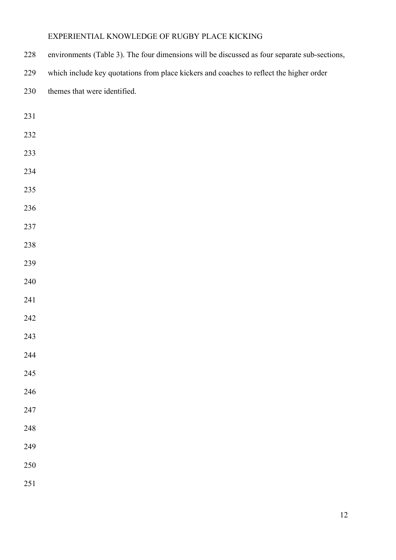| environments (Table 3). The four dimensions will be discussed as four separate sub-sections,<br>228 |
|-----------------------------------------------------------------------------------------------------|
|-----------------------------------------------------------------------------------------------------|

229 which include key quotations from place kickers and coaches to reflect the higher order

| 230 | themes that were identified. |
|-----|------------------------------|
|-----|------------------------------|

- 
- 
- 
- 
- 
- 
- 
- 
- 
- 
- 
- 
- 
- 
- 
- 
- 
- 
- 
- 
- 
- 
- 
- 
-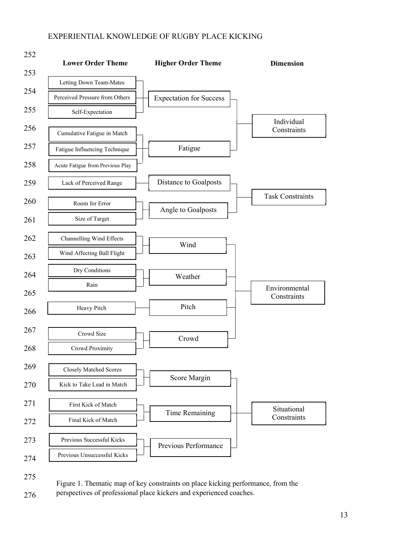

275

276

Figure 1. Thematic map of key constraints on place kicking performance, from the perspectives of professional place kickers and experienced coaches.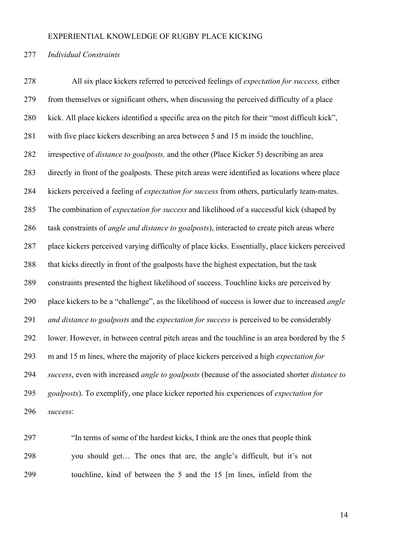### 277 Individual Constraints

278 All six place kickers referred to perceived feelings of expectation for success, either 279 from themselves or significant others, when discussing the perceived difficulty of a place 280 kick. All place kickers identified a specific area on the pitch for their "most difficult kick", 281 with five place kickers describing an area between 5 and 15 m inside the touchline, 282 irrespective of *distance to goalposts*, and the other (Place Kicker 5) describing an area 283 directly in front of the goalposts. These pitch areas were identified as locations where place 284 kickers perceived a feeling of *expectation for success* from others, particularly team-mates. 285 The combination of *expectation for success* and likelihood of a successful kick (shaped by 286 task constraints of *angle and distance to goalposts*), interacted to create pitch areas where 287 place kickers perceived varying difficulty of place kicks. Essentially, place kickers perceived 288 that kicks directly in front of the goalposts have the highest expectation, but the task 289 constraints presented the highest likelihood of success. Touchline kicks are perceived by 290 place kickers to be a "challenge", as the likelihood of success is lower due to increased *angle* 291 and distance to goalposts and the expectation for success is perceived to be considerably 292 lower. However, in between central pitch areas and the touchline is an area bordered by the 5 293 m and 15 m lines, where the majority of place kickers perceived a high expectation for 294 success, even with increased angle to goalposts (because of the associated shorter distance to 295 goalposts). To exemplify, one place kicker reported his experiences of *expectation for* 296 success:

297 "In terms of some of the hardest kicks, I think are the ones that people think 298 you should get… The ones that are, the angle's difficult, but it's not 299 touchline, kind of between the 5 and the 15 [m lines, infield from the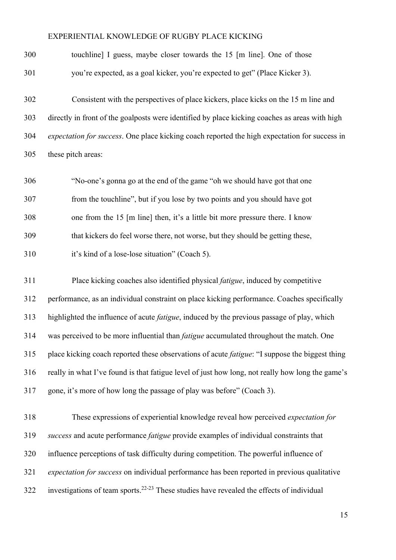300 touchline] I guess, maybe closer towards the 15 [m line]. One of those 301 you're expected, as a goal kicker, you're expected to get" (Place Kicker 3).

302 Consistent with the perspectives of place kickers, place kicks on the 15 m line and 303 directly in front of the goalposts were identified by place kicking coaches as areas with high 304 expectation for success. One place kicking coach reported the high expectation for success in 305 these pitch areas:

306 "No-one's gonna go at the end of the game "oh we should have got that one 307 from the touchline", but if you lose by two points and you should have got 308 one from the 15 [m line] then, it's a little bit more pressure there. I know 309 that kickers do feel worse there, not worse, but they should be getting these,

310 it's kind of a lose-lose situation" (Coach 5).

311 Place kicking coaches also identified physical fatigue, induced by competitive 312 performance, as an individual constraint on place kicking performance. Coaches specifically 313 highlighted the influence of acute *fatigue*, induced by the previous passage of play, which 314 was perceived to be more influential than fatigue accumulated throughout the match. One 315 place kicking coach reported these observations of acute *fatigue*: "I suppose the biggest thing 316 really in what I've found is that fatigue level of just how long, not really how long the game's 317 gone, it's more of how long the passage of play was before" (Coach 3).

318 These expressions of experiential knowledge reveal how perceived expectation for 319 success and acute performance fatigue provide examples of individual constraints that 320 influence perceptions of task difficulty during competition. The powerful influence of 321 expectation for success on individual performance has been reported in previous qualitative  $322$  investigations of team sports.<sup>22-23</sup> These studies have revealed the effects of individual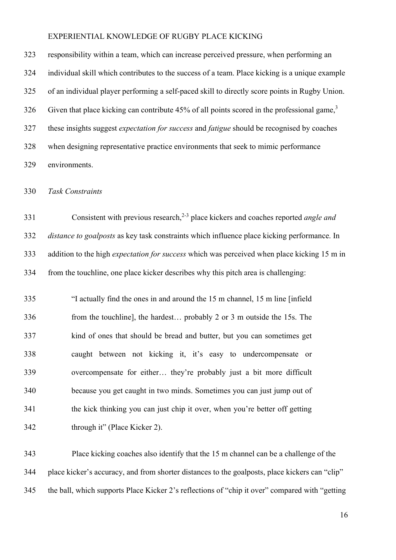323 responsibility within a team, which can increase perceived pressure, when performing an 324 individual skill which contributes to the success of a team. Place kicking is a unique example 325 of an individual player performing a self-paced skill to directly score points in Rugby Union. 326 Given that place kicking can contribute 45% of all points scored in the professional game,<sup>3</sup> 327 these insights suggest *expectation for success* and *fatigue* should be recognised by coaches 328 when designing representative practice environments that seek to mimic performance 329 environments.

330 Task Constraints

331 Consistent with previous research,<sup>2-3</sup> place kickers and coaches reported *angle and* 332 distance to goalposts as key task constraints which influence place kicking performance. In 333 addition to the high *expectation for success* which was perceived when place kicking 15 m in 334 from the touchline, one place kicker describes why this pitch area is challenging:

335 "I actually find the ones in and around the 15 m channel, 15 m line [infield 336 from the touchline], the hardest… probably 2 or 3 m outside the 15s. The 337 kind of ones that should be bread and butter, but you can sometimes get 338 caught between not kicking it, it's easy to undercompensate or 339 overcompensate for either… they're probably just a bit more difficult 340 because you get caught in two minds. Sometimes you can just jump out of 341 the kick thinking you can just chip it over, when you're better off getting 342 through it" (Place Kicker 2).

343 Place kicking coaches also identify that the 15 m channel can be a challenge of the 344 place kicker's accuracy, and from shorter distances to the goalposts, place kickers can "clip" 345 the ball, which supports Place Kicker 2's reflections of "chip it over" compared with "getting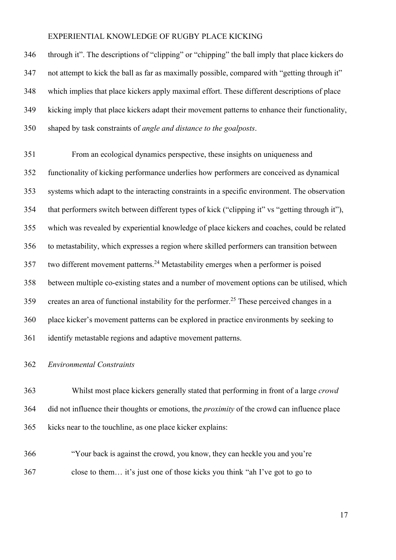346 through it". The descriptions of "clipping" or "chipping" the ball imply that place kickers do 347 not attempt to kick the ball as far as maximally possible, compared with "getting through it" 348 which implies that place kickers apply maximal effort. These different descriptions of place 349 kicking imply that place kickers adapt their movement patterns to enhance their functionality, 350 shaped by task constraints of angle and distance to the goalposts.

351 From an ecological dynamics perspective, these insights on uniqueness and 352 functionality of kicking performance underlies how performers are conceived as dynamical 353 systems which adapt to the interacting constraints in a specific environment. The observation 354 that performers switch between different types of kick ("clipping it" vs "getting through it"), 355 which was revealed by experiential knowledge of place kickers and coaches, could be related 356 to metastability, which expresses a region where skilled performers can transition between  $357$  two different movement patterns.<sup>24</sup> Metastability emerges when a performer is poised 358 between multiple co-existing states and a number of movement options can be utilised, which 359 creates an area of functional instability for the performer.<sup>25</sup> These perceived changes in a 360 place kicker's movement patterns can be explored in practice environments by seeking to 361 identify metastable regions and adaptive movement patterns.

#### 362 Environmental Constraints

363 Whilst most place kickers generally stated that performing in front of a large crowd 364 did not influence their thoughts or emotions, the *proximity* of the crowd can influence place 365 kicks near to the touchline, as one place kicker explains:

366 "Your back is against the crowd, you know, they can heckle you and you're 367 close to them… it's just one of those kicks you think "ah I've got to go to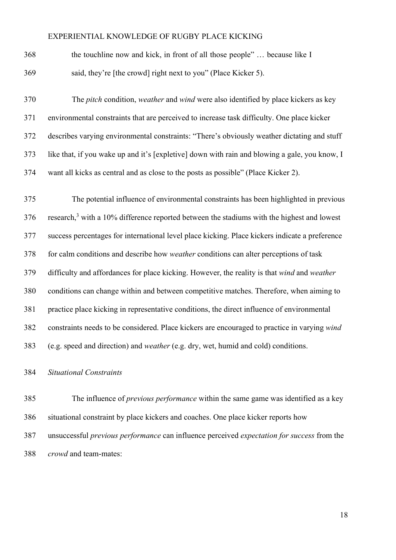368 the touchline now and kick, in front of all those people" … because like I 369 said, they're [the crowd] right next to you" (Place Kicker 5).

370 The *pitch* condition, *weather* and *wind* were also identified by place kickers as key 371 environmental constraints that are perceived to increase task difficulty. One place kicker 372 describes varying environmental constraints: "There's obviously weather dictating and stuff 373 like that, if you wake up and it's [expletive] down with rain and blowing a gale, you know, I 374 want all kicks as central and as close to the posts as possible" (Place Kicker 2).

375 The potential influence of environmental constraints has been highlighted in previous 376 research,<sup>3</sup> with a 10% difference reported between the stadiums with the highest and lowest 377 success percentages for international level place kicking. Place kickers indicate a preference 378 for calm conditions and describe how weather conditions can alter perceptions of task 379 difficulty and affordances for place kicking. However, the reality is that wind and weather 380 conditions can change within and between competitive matches. Therefore, when aiming to 381 practice place kicking in representative conditions, the direct influence of environmental 382 constraints needs to be considered. Place kickers are encouraged to practice in varying wind 383 (e.g. speed and direction) and weather (e.g. dry, wet, humid and cold) conditions.

### 384 Situational Constraints

385 The influence of previous performance within the same game was identified as a key 386 situational constraint by place kickers and coaches. One place kicker reports how 387 unsuccessful *previous performance* can influence perceived *expectation for success* from the 388 crowd and team-mates: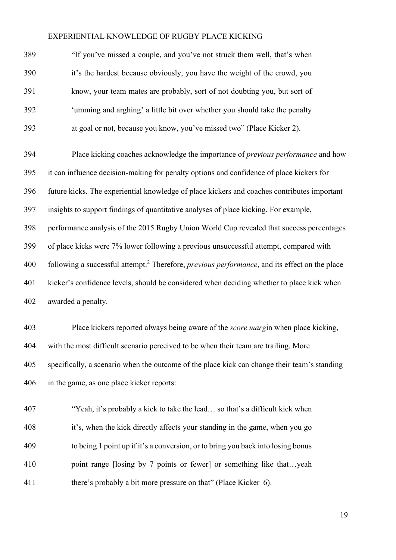| 389 | "If you've missed a couple, and you've not struck them well, that's when   |
|-----|----------------------------------------------------------------------------|
| 390 | it's the hardest because obviously, you have the weight of the crowd, you  |
| 391 | know, your team mates are probably, sort of not doubting you, but sort of  |
| 392 | 'umming and arghing' a little bit over whether you should take the penalty |
| 393 | at goal or not, because you know, you've missed two" (Place Kicker 2).     |

394 Place kicking coaches acknowledge the importance of previous performance and how 395 it can influence decision-making for penalty options and confidence of place kickers for 396 future kicks. The experiential knowledge of place kickers and coaches contributes important 397 insights to support findings of quantitative analyses of place kicking. For example, 398 performance analysis of the 2015 Rugby Union World Cup revealed that success percentages 399 of place kicks were 7% lower following a previous unsuccessful attempt, compared with 400 following a successful attempt.<sup>2</sup> Therefore, *previous performance*, and its effect on the place 401 kicker's confidence levels, should be considered when deciding whether to place kick when 402 awarded a penalty.

403 Place kickers reported always being aware of the score margin when place kicking, 404 with the most difficult scenario perceived to be when their team are trailing. More 405 specifically, a scenario when the outcome of the place kick can change their team's standing 406 in the game, as one place kicker reports:

407 "Yeah, it's probably a kick to take the lead… so that's a difficult kick when 408 it's, when the kick directly affects your standing in the game, when you go 409 to being 1 point up if it's a conversion, or to bring you back into losing bonus 410 point range [losing by 7 points or fewer] or something like that...yeah 411 there's probably a bit more pressure on that" (Place Kicker 6).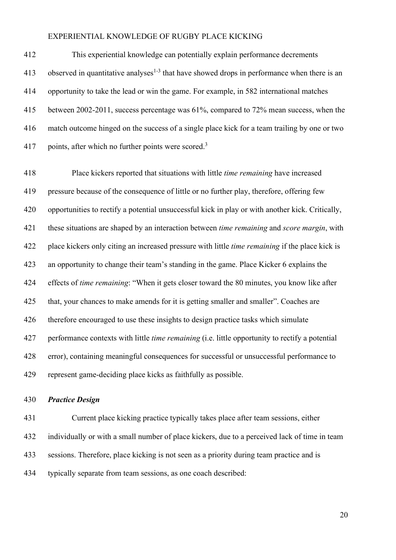412 This experiential knowledge can potentially explain performance decrements 413 observed in quantitative analyses<sup>1-3</sup> that have showed drops in performance when there is an 414 opportunity to take the lead or win the game. For example, in 582 international matches 415 between 2002-2011, success percentage was 61%, compared to 72% mean success, when the 416 match outcome hinged on the success of a single place kick for a team trailing by one or two 417 points, after which no further points were scored.<sup>3</sup>

418 Place kickers reported that situations with little time remaining have increased 419 pressure because of the consequence of little or no further play, therefore, offering few 420 opportunities to rectify a potential unsuccessful kick in play or with another kick. Critically, 421 these situations are shaped by an interaction between *time remaining* and *score margin*, with 422 place kickers only citing an increased pressure with little *time remaining* if the place kick is 423 an opportunity to change their team's standing in the game. Place Kicker 6 explains the 424 effects of *time remaining*: "When it gets closer toward the 80 minutes, you know like after 425 that, your chances to make amends for it is getting smaller and smaller". Coaches are 426 therefore encouraged to use these insights to design practice tasks which simulate 427 performance contexts with little *time remaining* (i.e. little opportunity to rectify a potential 428 error), containing meaningful consequences for successful or unsuccessful performance to 429 represent game-deciding place kicks as faithfully as possible.

### 430 Practice Design

431 Current place kicking practice typically takes place after team sessions, either 432 individually or with a small number of place kickers, due to a perceived lack of time in team 433 sessions. Therefore, place kicking is not seen as a priority during team practice and is 434 typically separate from team sessions, as one coach described: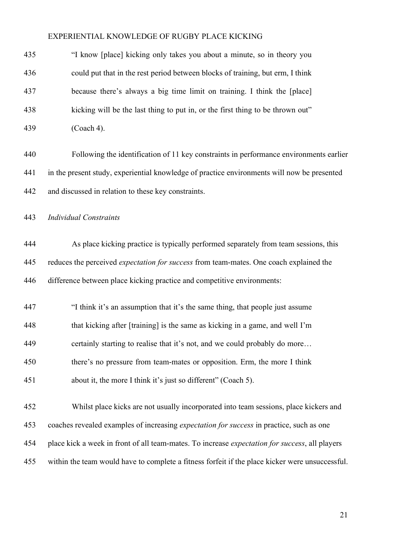| 435 | "I know [place] kicking only takes you about a minute, so in theory you                                |
|-----|--------------------------------------------------------------------------------------------------------|
| 436 | could put that in the rest period between blocks of training, but erm, I think                         |
| 437 | because there's always a big time limit on training. I think the [place]                               |
| 438 | kicking will be the last thing to put in, or the first thing to be thrown out"                         |
| 439 | (Coach 4).                                                                                             |
| 440 | Following the identification of 11 key constraints in performance environments earlier                 |
| 441 | in the present study, experiential knowledge of practice environments will now be presented            |
| 442 | and discussed in relation to these key constraints.                                                    |
| 443 | <b>Individual Constraints</b>                                                                          |
| 444 | As place kicking practice is typically performed separately from team sessions, this                   |
| 445 | reduces the perceived expectation for success from team-mates. One coach explained the                 |
| 446 | difference between place kicking practice and competitive environments:                                |
| 447 | "I think it's an assumption that it's the same thing, that people just assume                          |
| 448 | that kicking after [training] is the same as kicking in a game, and well I'm                           |
| 449 | certainly starting to realise that it's not, and we could probably do more                             |
| 450 | there's no pressure from team-mates or opposition. Erm, the more I think                               |
| 451 | about it, the more I think it's just so different" (Coach 5).                                          |
| 452 | Whilst place kicks are not usually incorporated into team sessions, place kickers and                  |
| 453 | coaches revealed examples of increasing expectation for success in practice, such as one               |
| 454 | place kick a week in front of all team-mates. To increase <i>expectation for success</i> , all players |
| 455 | within the team would have to complete a fitness forfeit if the place kicker were unsuccessful.        |
|     |                                                                                                        |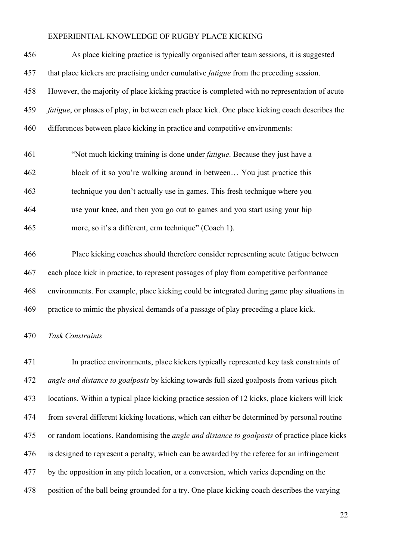| 456 | As place kicking practice is typically organised after team sessions, it is suggested                 |
|-----|-------------------------------------------------------------------------------------------------------|
| 457 | that place kickers are practising under cumulative <i>fatigue</i> from the preceding session.         |
| 458 | However, the majority of place kicking practice is completed with no representation of acute          |
| 459 | <i>fatigue</i> , or phases of play, in between each place kick. One place kicking coach describes the |
| 460 | differences between place kicking in practice and competitive environments:                           |
| 461 | "Not much kicking training is done under <i>fatigue</i> . Because they just have a                    |
| 462 | block of it so you're walking around in between You just practice this                                |

463 technique you don't actually use in games. This fresh technique where you 464 use your knee, and then you go out to games and you start using your hip 465 more, so it's a different, erm technique" (Coach 1).

466 Place kicking coaches should therefore consider representing acute fatigue between 467 each place kick in practice, to represent passages of play from competitive performance 468 environments. For example, place kicking could be integrated during game play situations in 469 practice to mimic the physical demands of a passage of play preceding a place kick.

#### 470 Task Constraints

471 In practice environments, place kickers typically represented key task constraints of 472 angle and distance to goalposts by kicking towards full sized goalposts from various pitch 473 locations. Within a typical place kicking practice session of 12 kicks, place kickers will kick 474 from several different kicking locations, which can either be determined by personal routine 475 or random locations. Randomising the *angle and distance to goalposts* of practice place kicks 476 is designed to represent a penalty, which can be awarded by the referee for an infringement 477 by the opposition in any pitch location, or a conversion, which varies depending on the 478 position of the ball being grounded for a try. One place kicking coach describes the varying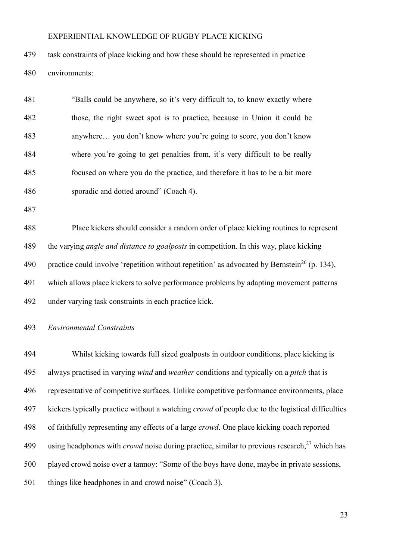479 task constraints of place kicking and how these should be represented in practice 480 environments:

| 481 | "Balls could be anywhere, so it's very difficult to, to know exactly where  |
|-----|-----------------------------------------------------------------------------|
| 482 | those, the right sweet spot is to practice, because in Union it could be    |
| 483 | anywhere you don't know where you're going to score, you don't know         |
| 484 | where you're going to get penalties from, it's very difficult to be really  |
| 485 | focused on where you do the practice, and therefore it has to be a bit more |
| 486 | sporadic and dotted around" (Coach 4).                                      |

487

488 Place kickers should consider a random order of place kicking routines to represent 489 the varying *angle and distance to goalposts* in competition. In this way, place kicking 490 practice could involve 'repetition without repetition' as advocated by Bernstein<sup>26</sup> (p. 134), 491 which allows place kickers to solve performance problems by adapting movement patterns 492 under varying task constraints in each practice kick.

493 Environmental Constraints

494 Whilst kicking towards full sized goalposts in outdoor conditions, place kicking is 495 always practised in varying *wind* and *weather* conditions and typically on a *pitch* that is 496 representative of competitive surfaces. Unlike competitive performance environments, place 497 kickers typically practice without a watching *crowd* of people due to the logistical difficulties 498 of faithfully representing any effects of a large *crowd*. One place kicking coach reported 499 using headphones with *crowd* noise during practice, similar to previous research,  $27$  which has 500 played crowd noise over a tannoy: "Some of the boys have done, maybe in private sessions, 501 things like headphones in and crowd noise" (Coach 3).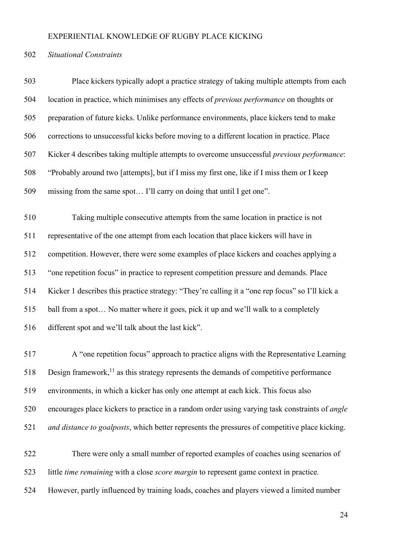#### 502 Situational Constraints

503 Place kickers typically adopt a practice strategy of taking multiple attempts from each 504 location in practice, which minimises any effects of previous performance on thoughts or 505 preparation of future kicks. Unlike performance environments, place kickers tend to make 506 corrections to unsuccessful kicks before moving to a different location in practice. Place 507 Kicker 4 describes taking multiple attempts to overcome unsuccessful previous performance: 508 "Probably around two [attempts], but if I miss my first one, like if I miss them or I keep 509 missing from the same spot… I'll carry on doing that until I get one".

510 Taking multiple consecutive attempts from the same location in practice is not 511 representative of the one attempt from each location that place kickers will have in 512 competition. However, there were some examples of place kickers and coaches applying a 513 "one repetition focus" in practice to represent competition pressure and demands. Place 514 Kicker 1 describes this practice strategy: "They're calling it a "one rep focus" so I'll kick a 515 ball from a spot… No matter where it goes, pick it up and we'll walk to a completely 516 different spot and we'll talk about the last kick".

517 A "one repetition focus" approach to practice aligns with the Representative Learning 518 Design framework,<sup>11</sup> as this strategy represents the demands of competitive performance 519 environments, in which a kicker has only one attempt at each kick. This focus also 520 encourages place kickers to practice in a random order using varying task constraints of angle 521 and distance to goalposts, which better represents the pressures of competitive place kicking.

522 There were only a small number of reported examples of coaches using scenarios of 523 little *time remaining* with a close *score margin* to represent game context in practice. 524 However, partly influenced by training loads, coaches and players viewed a limited number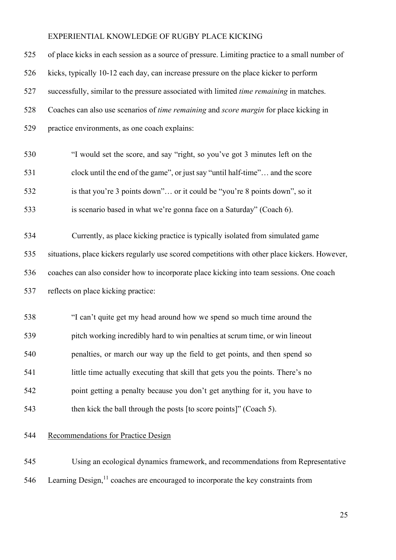| 525 | of place kicks in each session as a source of pressure. Limiting practice to a small number of  |
|-----|-------------------------------------------------------------------------------------------------|
| 526 | kicks, typically 10-12 each day, can increase pressure on the place kicker to perform           |
| 527 | successfully, similar to the pressure associated with limited <i>time remaining</i> in matches. |
| 528 | Coaches can also use scenarios of time remaining and score margin for place kicking in          |
| 529 | practice environments, as one coach explains:                                                   |
| 530 | "I would set the score, and say "right, so you've got 3 minutes left on the                     |
| 531 | clock until the end of the game", or just say "until half-time" and the score                   |
| 532 | is that you're 3 points down" or it could be "you're 8 points down", so it                      |
| 533 | is scenario based in what we're gonna face on a Saturday" (Coach 6).                            |
| 534 | Currently, as place kicking practice is typically isolated from simulated game                  |
| 535 | situations, place kickers regularly use scored competitions with other place kickers. However,  |
| 536 | coaches can also consider how to incorporate place kicking into team sessions. One coach        |
| 537 | reflects on place kicking practice:                                                             |
| 538 | "I can't quite get my head around how we spend so much time around the                          |
| 539 | pitch working incredibly hard to win penalties at scrum time, or win lineout                    |
| 540 | penalties, or march our way up the field to get points, and then spend so                       |
| 541 | little time actually executing that skill that gets you the points. There's no                  |
| 542 | point getting a penalty because you don't get anything for it, you have to                      |
| 543 | then kick the ball through the posts [to score points]" (Coach 5).                              |

# 544 Recommendations for Practice Design

545 Using an ecological dynamics framework, and recommendations from Representative 546 Learning Design, $11$  coaches are encouraged to incorporate the key constraints from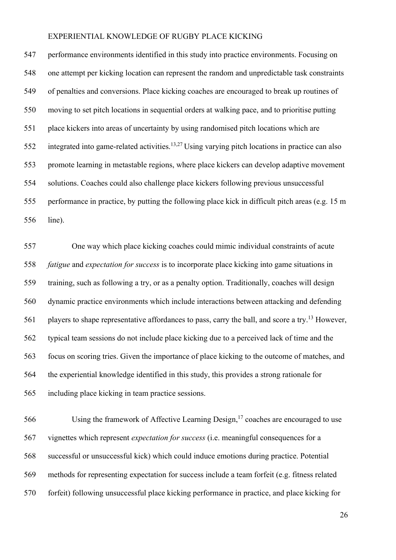547 performance environments identified in this study into practice environments. Focusing on 548 one attempt per kicking location can represent the random and unpredictable task constraints 549 of penalties and conversions. Place kicking coaches are encouraged to break up routines of 550 moving to set pitch locations in sequential orders at walking pace, and to prioritise putting 551 place kickers into areas of uncertainty by using randomised pitch locations which are 552 integrated into game-related activities.<sup>13,27</sup> Using varying pitch locations in practice can also 553 promote learning in metastable regions, where place kickers can develop adaptive movement 554 solutions. Coaches could also challenge place kickers following previous unsuccessful 555 performance in practice, by putting the following place kick in difficult pitch areas (e.g. 15 m 556 line).

557 One way which place kicking coaches could mimic individual constraints of acute 558 fatigue and expectation for success is to incorporate place kicking into game situations in 559 training, such as following a try, or as a penalty option. Traditionally, coaches will design 560 dynamic practice environments which include interactions between attacking and defending 561 players to shape representative affordances to pass, carry the ball, and score a try.<sup>13</sup> However, 562 typical team sessions do not include place kicking due to a perceived lack of time and the 563 focus on scoring tries. Given the importance of place kicking to the outcome of matches, and 564 the experiential knowledge identified in this study, this provides a strong rationale for 565 including place kicking in team practice sessions.

 $566$  Using the framework of Affective Learning Design, <sup>17</sup> coaches are encouraged to use 567 vignettes which represent expectation for success (i.e. meaningful consequences for a 568 successful or unsuccessful kick) which could induce emotions during practice. Potential 569 methods for representing expectation for success include a team forfeit (e.g. fitness related 570 forfeit) following unsuccessful place kicking performance in practice, and place kicking for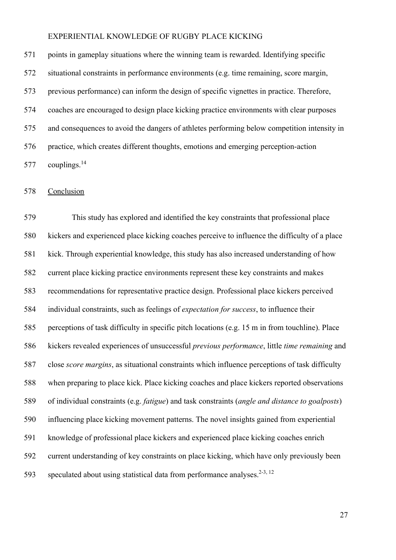571 points in gameplay situations where the winning team is rewarded. Identifying specific 572 situational constraints in performance environments (e.g. time remaining, score margin, 573 previous performance) can inform the design of specific vignettes in practice. Therefore, 574 coaches are encouraged to design place kicking practice environments with clear purposes 575 and consequences to avoid the dangers of athletes performing below competition intensity in 576 practice, which creates different thoughts, emotions and emerging perception-action  $577$  couplings.<sup>14</sup>

578 Conclusion

579 This study has explored and identified the key constraints that professional place 580 kickers and experienced place kicking coaches perceive to influence the difficulty of a place 581 kick. Through experiential knowledge, this study has also increased understanding of how 582 current place kicking practice environments represent these key constraints and makes 583 recommendations for representative practice design. Professional place kickers perceived 584 individual constraints, such as feelings of expectation for success, to influence their 585 perceptions of task difficulty in specific pitch locations (e.g. 15 m in from touchline). Place 586 kickers revealed experiences of unsuccessful previous performance, little time remaining and 587 close score margins, as situational constraints which influence perceptions of task difficulty 588 when preparing to place kick. Place kicking coaches and place kickers reported observations 589 of individual constraints (e.g. fatigue) and task constraints (angle and distance to goalposts) 590 influencing place kicking movement patterns. The novel insights gained from experiential 591 knowledge of professional place kickers and experienced place kicking coaches enrich 592 current understanding of key constraints on place kicking, which have only previously been 593 speculated about using statistical data from performance analyses.<sup>2-3, 12</sup>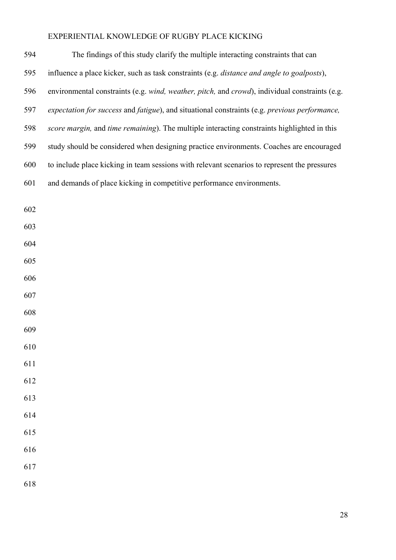| 594 | The findings of this study clarify the multiple interacting constraints that can               |
|-----|------------------------------------------------------------------------------------------------|
| 595 | influence a place kicker, such as task constraints (e.g. distance and angle to goalposts),     |
| 596 | environmental constraints (e.g. wind, weather, pitch, and crowd), individual constraints (e.g. |
| 597 | expectation for success and fatigue), and situational constraints (e.g. previous performance,  |
| 598 | score margin, and time remaining). The multiple interacting constraints highlighted in this    |
| 599 | study should be considered when designing practice environments. Coaches are encouraged        |
| 600 | to include place kicking in team sessions with relevant scenarios to represent the pressures   |
| 601 | and demands of place kicking in competitive performance environments.                          |
|     |                                                                                                |
| 602 |                                                                                                |
| 603 |                                                                                                |
| 604 |                                                                                                |
| 605 |                                                                                                |
| 606 |                                                                                                |
| 607 |                                                                                                |
| 608 |                                                                                                |
| 609 |                                                                                                |
| 610 |                                                                                                |
| 611 |                                                                                                |
| 612 |                                                                                                |
| 613 |                                                                                                |
| 614 |                                                                                                |
| 615 |                                                                                                |
| 616 |                                                                                                |
| 617 |                                                                                                |
| 618 |                                                                                                |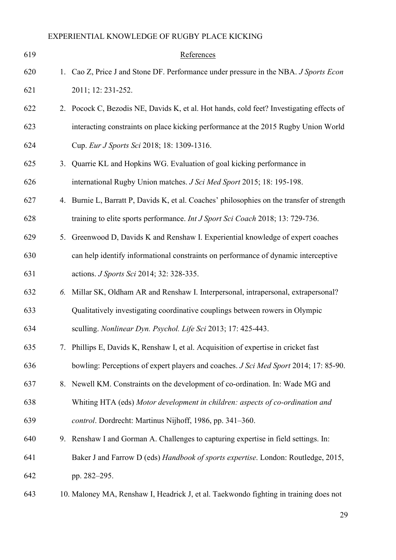| 619 |    | References                                                                                 |
|-----|----|--------------------------------------------------------------------------------------------|
| 620 |    | 1. Cao Z, Price J and Stone DF. Performance under pressure in the NBA. J Sports Econ       |
| 621 |    | 2011; 12: 231-252.                                                                         |
| 622 |    | 2. Pocock C, Bezodis NE, Davids K, et al. Hot hands, cold feet? Investigating effects of   |
| 623 |    | interacting constraints on place kicking performance at the 2015 Rugby Union World         |
| 624 |    | Cup. Eur J Sports Sci 2018; 18: 1309-1316.                                                 |
| 625 | 3. | Quarrie KL and Hopkins WG. Evaluation of goal kicking performance in                       |
| 626 |    | international Rugby Union matches. J Sci Med Sport 2015; 18: 195-198.                      |
| 627 |    | 4. Burnie L, Barratt P, Davids K, et al. Coaches' philosophies on the transfer of strength |
| 628 |    | training to elite sports performance. Int J Sport Sci Coach 2018; 13: 729-736.             |
| 629 |    | 5. Greenwood D, Davids K and Renshaw I. Experiential knowledge of expert coaches           |
| 630 |    | can help identify informational constraints on performance of dynamic interceptive         |
| 631 |    | actions. J Sports Sci 2014; 32: 328-335.                                                   |
| 632 |    | 6. Millar SK, Oldham AR and Renshaw I. Interpersonal, intrapersonal, extrapersonal?        |
| 633 |    | Qualitatively investigating coordinative couplings between rowers in Olympic               |
| 634 |    | sculling. Nonlinear Dyn. Psychol. Life Sci 2013; 17: 425-443.                              |
| 635 |    | 7. Phillips E, Davids K, Renshaw I, et al. Acquisition of expertise in cricket fast        |
| 636 |    | bowling: Perceptions of expert players and coaches. J Sci Med Sport 2014; 17: 85-90.       |
| 637 |    | 8. Newell KM. Constraints on the development of co-ordination. In: Wade MG and             |
| 638 |    | Whiting HTA (eds) Motor development in children: aspects of co-ordination and              |
| 639 |    | control. Dordrecht: Martinus Nijhoff, 1986, pp. 341-360.                                   |
| 640 |    | 9. Renshaw I and Gorman A. Challenges to capturing expertise in field settings. In:        |
| 641 |    | Baker J and Farrow D (eds) Handbook of sports expertise. London: Routledge, 2015,          |
| 642 |    | pp. 282-295.                                                                               |
| 643 |    | 10. Maloney MA, Renshaw I, Headrick J, et al. Taekwondo fighting in training does not      |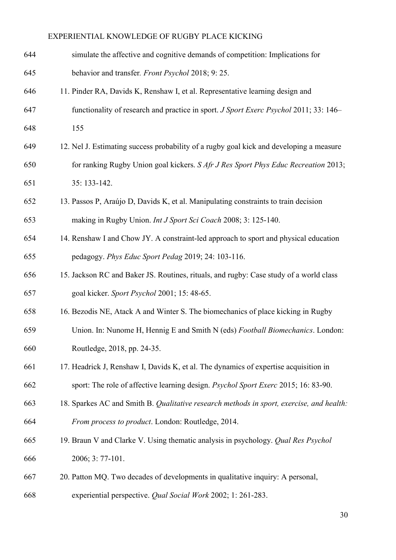| 644 | simulate the affective and cognitive demands of competition: Implications for            |
|-----|------------------------------------------------------------------------------------------|
| 645 | behavior and transfer. Front Psychol 2018; 9: 25.                                        |
| 646 | 11. Pinder RA, Davids K, Renshaw I, et al. Representative learning design and            |
| 647 | functionality of research and practice in sport. J Sport Exerc Psychol 2011; 33: 146–    |
| 648 | 155                                                                                      |
| 649 | 12. Nel J. Estimating success probability of a rugby goal kick and developing a measure  |
| 650 | for ranking Rugby Union goal kickers. S Afr J Res Sport Phys Educ Recreation 2013;       |
| 651 | 35: 133-142.                                                                             |
| 652 | 13. Passos P, Araújo D, Davids K, et al. Manipulating constraints to train decision      |
| 653 | making in Rugby Union. Int J Sport Sci Coach 2008; 3: 125-140.                           |
| 654 | 14. Renshaw I and Chow JY. A constraint-led approach to sport and physical education     |
| 655 | pedagogy. Phys Educ Sport Pedag 2019; 24: 103-116.                                       |
| 656 | 15. Jackson RC and Baker JS. Routines, rituals, and rugby: Case study of a world class   |
| 657 | goal kicker. Sport Psychol 2001; 15: 48-65.                                              |
| 658 | 16. Bezodis NE, Atack A and Winter S. The biomechanics of place kicking in Rugby         |
| 659 | Union. In: Nunome H, Hennig E and Smith N (eds) Football Biomechanics. London:           |
| 660 | Routledge, 2018, pp. 24-35.                                                              |
| 661 | 17. Headrick J, Renshaw I, Davids K, et al. The dynamics of expertise acquisition in     |
| 662 | sport: The role of affective learning design. Psychol Sport Exerc 2015; 16: 83-90.       |
| 663 | 18. Sparkes AC and Smith B. Qualitative research methods in sport, exercise, and health: |
| 664 | From process to product. London: Routledge, 2014.                                        |
| 665 | 19. Braun V and Clarke V. Using thematic analysis in psychology. <i>Qual Res Psychol</i> |
| 666 | 2006; 3: 77-101.                                                                         |
| 667 | 20. Patton MQ. Two decades of developments in qualitative inquiry: A personal,           |
| 668 | experiential perspective. Qual Social Work 2002; 1: 261-283.                             |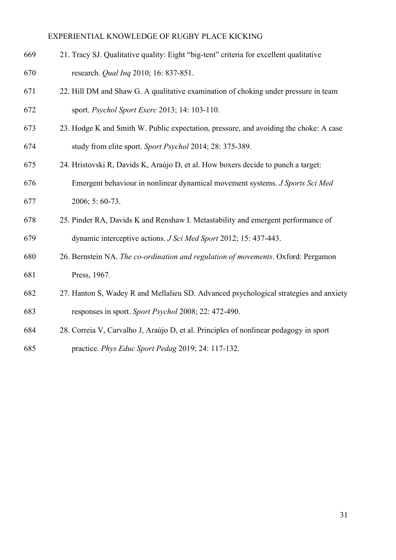- 669 21. Tracy SJ. Qualitative quality: Eight "big-tent" criteria for excellent qualitative 670 research. Qual Inq 2010; 16: 837-851.
- 671 22. Hill DM and Shaw G. A qualitative examination of choking under pressure in team 672 sport. Psychol Sport Exerc 2013; 14: 103-110.
- 673 23. Hodge K and Smith W. Public expectation, pressure, and avoiding the choke: A case 674 study from elite sport. Sport Psychol 2014; 28: 375-389.
- 675 24. Hristovski R, Davids K, Araújo D, et al. How boxers decide to punch a target:
- 676 Emergent behaviour in nonlinear dynamical movement systems. J Sports Sci Med
- 677 2006; 5: 60-73.
- 678 25. Pinder RA, Davids K and Renshaw I. Metastability and emergent performance of 679 dynamic interceptive actions. J Sci Med Sport 2012; 15: 437-443.
- 680 26. Bernstein NA. The co-ordination and regulation of movements. Oxford: Pergamon 681 Press, 1967.
- 682 27. Hanton S, Wadey R and Mellalieu SD. Advanced psychological strategies and anxiety 683 responses in sport. Sport Psychol 2008; 22: 472-490.
- 684 28. Correia V, Carvalho J, Araújo D, et al. Principles of nonlinear pedagogy in sport
- 685 practice. Phys Educ Sport Pedag 2019; 24: 117-132.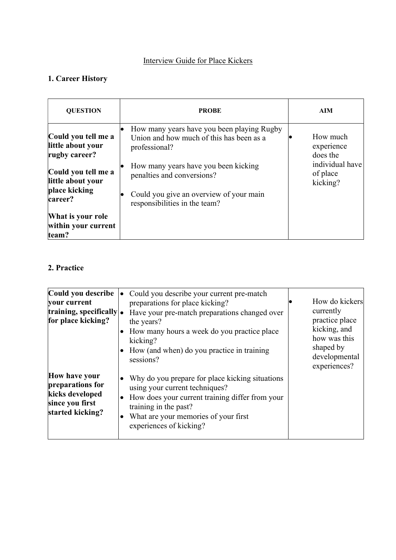# Interview Guide for Place Kickers

# 1. Career History

| <b>QUESTION</b>                                           | <b>PROBE</b>                                                                                            | <b>AIM</b>                              |
|-----------------------------------------------------------|---------------------------------------------------------------------------------------------------------|-----------------------------------------|
| Could you tell me a<br>little about your<br>rugby career? | How many years have you been playing Rugby<br>Union and how much of this has been as a<br>professional? | How much<br>experience<br>does the      |
| Could you tell me a<br>little about your                  | How many years have you been kicking<br>penalties and conversions?                                      | individual have<br>of place<br>kicking? |
| place kicking<br>career?                                  | Could you give an overview of your main<br>responsibilities in the team?                                |                                         |
| What is your role<br>within your current<br>team?         |                                                                                                         |                                         |

## 2. Practice

| Could you describe<br>your current<br>training, specifically $\cdot$<br>for place kicking?  | Could you describe your current pre-match<br>preparations for place kicking?<br>Have your pre-match preparations changed over<br>the years?<br>How many hours a week do you practice place<br>kicking?<br>How (and when) do you practice in training<br>$\bullet$<br>sessions? | How do kickers<br>currently<br>practice place<br>kicking, and<br>how was this<br>shaped by<br>developmental<br>experiences? |
|---------------------------------------------------------------------------------------------|--------------------------------------------------------------------------------------------------------------------------------------------------------------------------------------------------------------------------------------------------------------------------------|-----------------------------------------------------------------------------------------------------------------------------|
| How have your<br>preparations for<br>kicks developed<br>since you first<br>started kicking? | Why do you prepare for place kicking situations<br>using your current techniques?<br>How does your current training differ from your<br>training in the past?<br>What are your memories of your first<br>experiences of kicking?                                               |                                                                                                                             |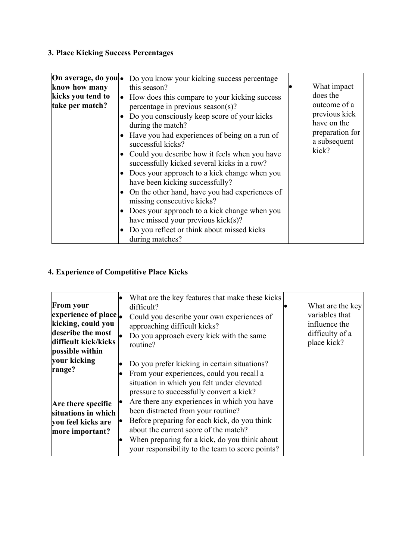# 3. Place Kicking Success Percentages

| On average, do you •                 | Do you know your kicking success percentage                                                     |                                 |
|--------------------------------------|-------------------------------------------------------------------------------------------------|---------------------------------|
| know how many                        | this season?                                                                                    | What impact                     |
| kicks you tend to<br>take per match? | How does this compare to your kicking success<br>$\bullet$<br>percentage in previous season(s)? | does the<br>outcome of a        |
|                                      | Do you consciously keep score of your kicks<br>during the match?                                | previous kick<br>have on the    |
|                                      | Have you had experiences of being on a run of<br>successful kicks?                              | preparation for<br>a subsequent |
|                                      | Could you describe how it feels when you have<br>successfully kicked several kicks in a row?    | kick?                           |
|                                      | Does your approach to a kick change when you<br>have been kicking successfully?                 |                                 |
|                                      | • On the other hand, have you had experiences of<br>missing consecutive kicks?                  |                                 |
|                                      | Does your approach to a kick change when you<br>have missed your previous kick(s)?              |                                 |
|                                      | Do you reflect or think about missed kicks<br>during matches?                                   |                                 |

# 4. Experience of Competitive Place Kicks

|                      | What are the key features that make these kicks  |                  |
|----------------------|--------------------------------------------------|------------------|
| <b>From your</b>     | difficult?                                       | What are the key |
| experience of place. | Could you describe your own experiences of       | variables that   |
| kicking, could you   | approaching difficult kicks?                     | influence the    |
| describe the most    | Do you approach every kick with the same         | difficulty of a  |
| difficult kick/kicks | routine?                                         | place kick?      |
| possible within      |                                                  |                  |
| your kicking         |                                                  |                  |
|                      | Do you prefer kicking in certain situations?     |                  |
| range?               | From your experiences, could you recall a        |                  |
|                      | situation in which you felt under elevated       |                  |
|                      | pressure to successfully convert a kick?         |                  |
|                      | Are there any experiences in which you have      |                  |
| Are there specific   |                                                  |                  |
| situations in which  | been distracted from your routine?               |                  |
| you feel kicks are   | Before preparing for each kick, do you think     |                  |
| more important?      | about the current score of the match?            |                  |
|                      | When preparing for a kick, do you think about    |                  |
|                      |                                                  |                  |
|                      | your responsibility to the team to score points? |                  |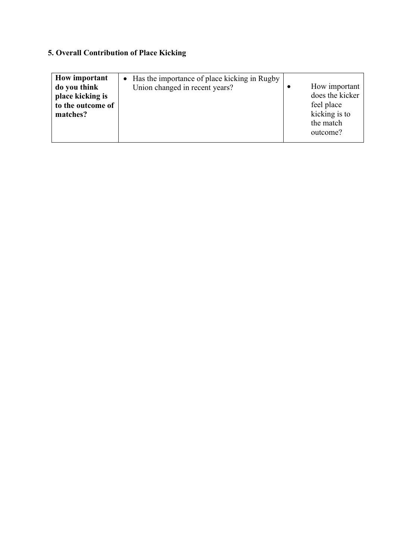# 5. Overall Contribution of Place Kicking

| How important<br>do you think         | • Has the importance of place kicking in Rugby<br>Union changed in recent years? | How important                          |
|---------------------------------------|----------------------------------------------------------------------------------|----------------------------------------|
| place kicking is<br>to the outcome of |                                                                                  | does the kicker<br>feel place          |
| matches?                              |                                                                                  | kicking is to<br>the match<br>outcome? |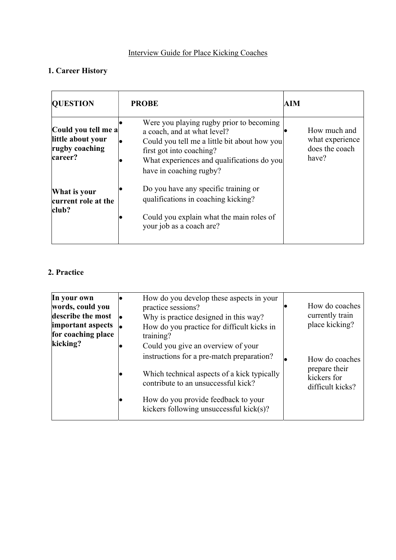# Interview Guide for Place Kicking Coaches

# 1. Career History

| <b>QUESTION</b>                                                       | <b>PROBE</b>                                                                                                                                                                                                                 | AIM                                                        |
|-----------------------------------------------------------------------|------------------------------------------------------------------------------------------------------------------------------------------------------------------------------------------------------------------------------|------------------------------------------------------------|
| Could you tell me a<br>little about your<br>rugby coaching<br>career? | Were you playing rugby prior to becoming<br>a coach, and at what level?<br>Could you tell me a little bit about how you<br>first got into coaching?<br>What experiences and qualifications do you<br>have in coaching rugby? | How much and<br>what experience<br>does the coach<br>have? |
| What is your<br>current role at the<br>club?                          | Do you have any specific training or<br>qualifications in coaching kicking?<br>Could you explain what the main roles of<br>your job as a coach are?                                                                          |                                                            |

## 2. Practice

| In your own<br>words, could you<br>describe the most<br>important aspects<br>for coaching place<br>kicking? | How do you develop these aspects in your<br>practice sessions?<br>Why is practice designed in this way?<br>How do you practice for difficult kicks in<br>training?<br>Could you give an overview of your | How do coaches<br>currently train<br>place kicking?                |
|-------------------------------------------------------------------------------------------------------------|----------------------------------------------------------------------------------------------------------------------------------------------------------------------------------------------------------|--------------------------------------------------------------------|
|                                                                                                             | instructions for a pre-match preparation?<br>Which technical aspects of a kick typically<br>contribute to an unsuccessful kick?<br>How do you provide feedback to your                                   | How do coaches<br>prepare their<br>kickers for<br>difficult kicks? |
|                                                                                                             | kickers following unsuccessful kick(s)?                                                                                                                                                                  |                                                                    |